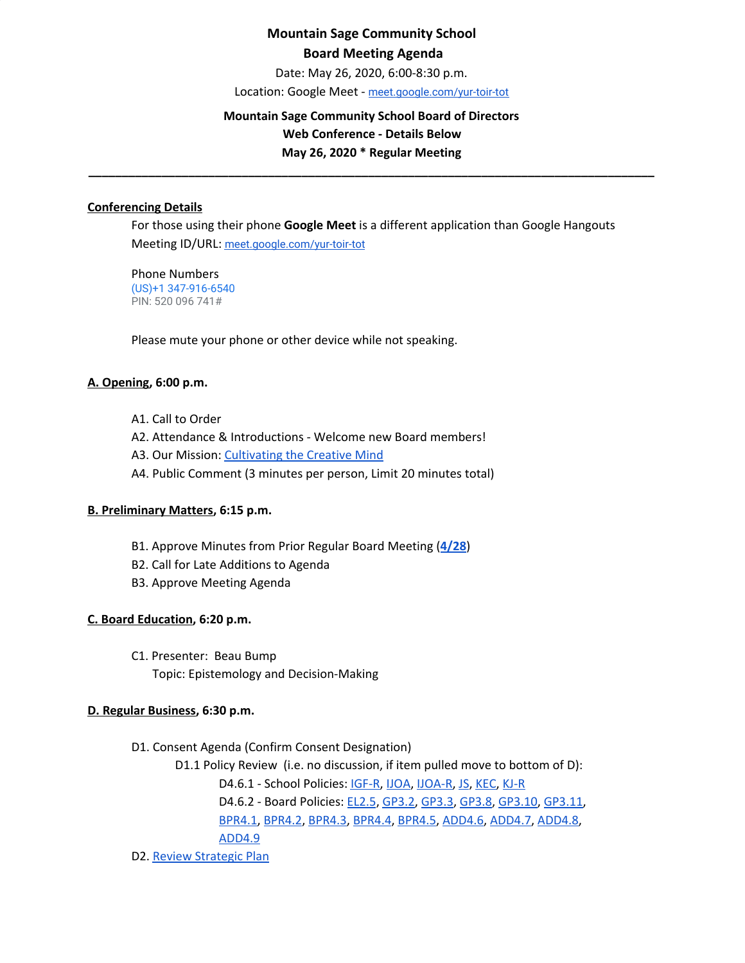# **Mountain Sage Community School Board Meeting Agenda**

Date: May 26, 2020, 6:00-8:30 p.m.

Location: Google Meet - [meet.google.com/yur-toir-tot](http://meet.google.com/yur-toir-tot)

#### **Mountain Sage Community School Board of Directors**

**Web Conference - Details Below**

**May 26, 2020 \* Regular Meeting \_\_\_\_\_\_\_\_\_\_\_\_\_\_\_\_\_\_\_\_\_\_\_\_\_\_\_\_\_\_\_\_\_\_\_\_\_\_\_\_\_\_\_\_\_\_\_\_\_\_\_\_\_\_\_\_\_\_\_\_\_\_\_\_\_\_\_\_\_\_\_\_\_\_\_\_\_\_\_\_\_\_\_\_\_**

#### **Conferencing Details**

For those using their phone **Google Meet** is a different application than Google Hangouts Meeting ID/URL: [meet.google.com/yur-toir-tot](http://meet.google.com/yur-toir-tot)

Phone Numbers (US)+1 347-916-6540 PIN: 520 096 741#

Please mute your phone or other device while not speaking.

### **A. Opening, 6:00 p.m.**

- A1. Call to Order
- A2. Attendance & Introductions Welcome new Board members!
- A3. Our Mission: [Cultivating](http://www.mountainsage.org/mission-and-vision.html) the Creative Mind
- A4. Public Comment (3 minutes per person, Limit 20 minutes total)

### **B. Preliminary Matters, 6:15 p.m.**

- B1. Approve Minutes from Prior Regular Board Meeting (**[4/28](https://docs.google.com/document/d/1NnO2W6uGocYpnL8WPJPKvtVwqBkm9o4iOlTMZVjYFBc/edit?usp=sharing)**)
- B2. Call for Late Additions to Agenda
- B3. Approve Meeting Agenda

### **C. Board Education, 6:20 p.m.**

C1. Presenter: Beau Bump

Topic: Epistemology and Decision-Making

### **D. Regular Business, 6:30 p.m.**

- D1. Consent Agenda (Confirm Consent Designation)
	- D1.1 Policy Review (i.e. no discussion, if item pulled move to bottom of D):

D4.6.1 - School Policies: [IGF-R,](https://drive.google.com/open?id=1miaI655qSVx0mkoge_Ogf0wfQe_WHysQOHWy3E8vP_4) [IJOA,](https://drive.google.com/open?id=127iMJeasFSKC9cgptf53Po-Lt65l7qPxlFaFTCDx8Bc) [IJOA-R](https://drive.google.com/open?id=10D8cL9gSGsZ4qw0McfOHYMYGB72Y2tjHtReRjqjzPfw), [JS,](https://docs.google.com/document/d/1rf5GBWs-YOgZhMLOzJxPMH3JRSSvb52K1Sytz0KNBiU) [KEC,](https://drive.google.com/open?id=108m23bf4wN-nGySmWFhaqPyzr6OifhWuoCBYjYqfRoE) [KJ-R](https://docs.google.com/document/d/1Y4ZRTfhnfaBxuilXfk0sCEiIzcjzBLQFw72AJVi7ZmQ)

D4.6.2 - Board Policies: [EL2.5](https://docs.google.com/document/d/1nYs8TvRZiMJCIYsfBXl8_YG7hKr1aksmEDiekAFgNk8), [GP3.2](https://docs.google.com/document/d/1hnkmTRt9MDSaMV_ZQoyMefFZinry9VycskNaaV3UnGE), [GP3.3,](https://docs.google.com/document/d/1rCNyuUn-oRMQUnt7UX3Ur8rkx1Y8x7-CkbfRWeG56kU) [GP3.8](https://docs.google.com/document/d/1jQ-h_nZxYr44jzisoAamCD-ZTlqzI_RwpOrxd1MbjgY), [GP3.10,](https://docs.google.com/document/d/1SlF3cHVQfU9alRa-s9YSLYbjkR3MyXITu4wVCfhZyuU) [GP3.11](https://docs.google.com/document/d/1wBiDP8kqKlyJ4ohM3_tg5_pp2Uy8FXx9msG9Vqy2trM),

[BPR4.1,](https://docs.google.com/document/d/1MaY4A5hU38xf4iHiE_6zBUpoW5awS9rkKzmTJqAYekE) [BPR4.2](https://docs.google.com/document/d/1LqJS08QMNRroiBdHY9PX6tJcYVbi7vw6PYEUeQYswQk), [BPR4.3](https://docs.google.com/document/d/1KjkHrBW0EZGUtIS6mO-iS1h0bR_5FtVadqiCsk21Vqg), [BPR4.4,](https://docs.google.com/document/d/1hG_q6BOaj5OpBxxx2oIUKsWh_vFuplQc5yH9C3KdkSM) [BPR4.5](https://docs.google.com/document/d/1oVLEWxeB8eOXqKMs1O0AzPP6iiBPUGICnLCVqxdQkFw), [ADD4.6,](https://docs.google.com/document/d/1jrfdZDvG6FLRfkDB7vcMKFRzbfBsAh0vVk8UD7TL2h4) [ADD4.7](https://docs.google.com/document/d/1Q-912meTl_VGsPnM1c_GAABAOibREAKKj1S-GzD51ZM), [ADD4.8,](https://docs.google.com/document/d/1gc0LQdyzkk8w7Nxegsq7Pc5SlP84wwAHRijWtk8bn6I) [ADD4.9](https://docs.google.com/document/d/1Dh87SCZ925TBKfq-QiTPdGFE9LQLyNdPv1zlrlrXJdU)

D2. Review [Strategic](https://drive.google.com/file/d/1bIEAL8S8NnDx9PPJRR79h1dLsXFMCh-t/view?usp=sharing) Plan